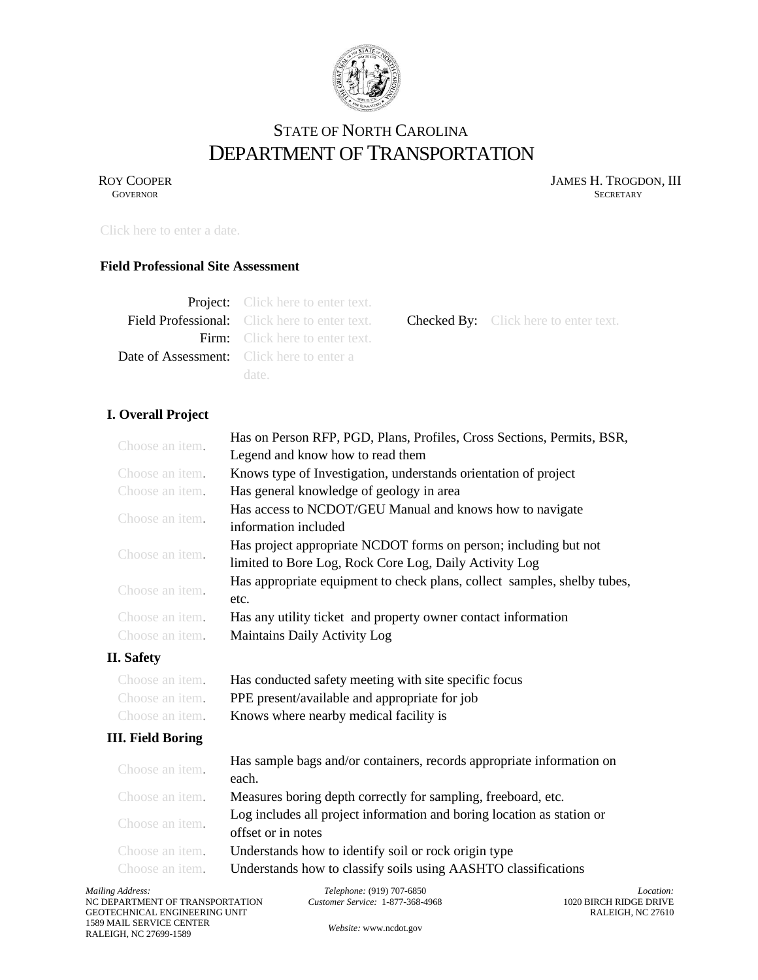

# STATE OF NORTH CAROLINA DEPARTMENT OF TRANSPORTATION

ROY COOPER JAMES H. TROGDON, III GOVERNOR SECRETARY **GOVERNOR** SECRETARY

Checked By: Click here to enter text.

Click here to enter a date.

#### **Field Professional Site Assessment**

| <b>Project:</b> Click here to enter text.            |
|------------------------------------------------------|
| <b>Field Professional:</b> Click here to enter text. |
| <b>Firm:</b> Click here to enter text.               |
| <b>Date of Assessment:</b> Click here to enter a     |
| date.                                                |

**I. Overall Project**

| Choose an item.          | Has on Person RFP, PGD, Plans, Profiles, Cross Sections, Permits, BSR,                                                     |
|--------------------------|----------------------------------------------------------------------------------------------------------------------------|
|                          | Legend and know how to read them                                                                                           |
| Choose an item.          | Knows type of Investigation, understands orientation of project                                                            |
| Choose an item.          | Has general knowledge of geology in area                                                                                   |
| Choose an item.          | Has access to NCDOT/GEU Manual and knows how to navigate<br>information included                                           |
| Choose an item.          | Has project appropriate NCDOT forms on person; including but not<br>limited to Bore Log, Rock Core Log, Daily Activity Log |
| Choose an item.          | Has appropriate equipment to check plans, collect samples, shelby tubes,<br>etc.                                           |
| Choose an item.          | Has any utility ticket and property owner contact information                                                              |
| Choose an item.          | Maintains Daily Activity Log                                                                                               |
| <b>II.</b> Safety        |                                                                                                                            |
| Choose an item.          | Has conducted safety meeting with site specific focus                                                                      |
| Choose an <i>item</i> .  | PPE present/available and appropriate for job                                                                              |
| Choose an <i>item</i> .  | Knows where nearby medical facility is                                                                                     |
| <b>III. Field Boring</b> |                                                                                                                            |
| Choose an item.          | Has sample bags and/or containers, records appropriate information on<br>each.                                             |
| Choose an item.          | Measures boring depth correctly for sampling, freeboard, etc.                                                              |
| Choose an item.          | Log includes all project information and boring location as station or<br>offset or in notes                               |
| Choose an item.          | Understands how to identify soil or rock origin type                                                                       |
| Choose an <i>item</i> .  | Understands how to classify soils using AASHTO classifications                                                             |

*Telephone:* (919) 707-6850 *Customer Service:* 1-877-368-4968

*Location:* 1020 BIRCH RIDGE DRIVE RALEIGH, NC 27610

*Website:* [www.ncdot.gov](http://www.ncdot.gov/)